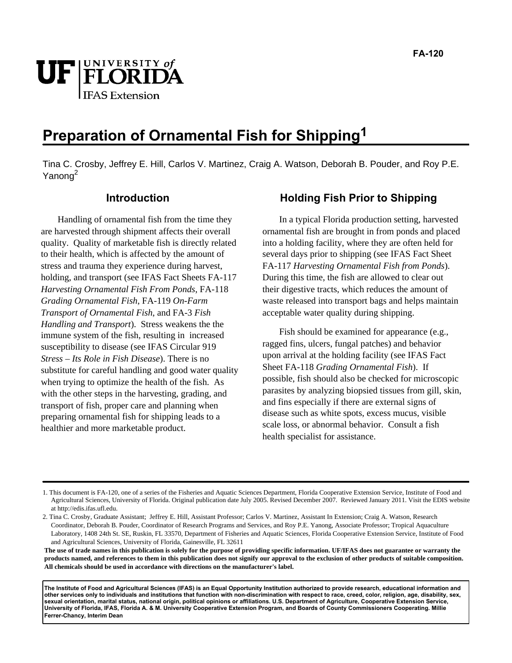

# **Preparation of Ornamental Fish for Shipping1**

Tina C. Crosby, Jeffrey E. Hill, Carlos V. Martinez, Craig A. Watson, Deborah B. Pouder, and Roy P.E. Yanong<sup>2</sup>

## **Introduction**

Handling of ornamental fish from the time they are harvested through shipment affects their overall quality. Quality of marketable fish is directly related to their health, which is affected by the amount of stress and trauma they experience during harvest, holding, and transport (see IFAS Fact Sheets FA-117 *Harvesting Ornamental Fish From Ponds*, FA-118 *Grading Ornamental Fish*, FA-119 *On-Farm Transport of Ornamental Fish*, and FA-3 *Fish Handling and Transport*). Stress weakens the the immune system of the fish, resulting in increased susceptibility to disease (see IFAS Circular 919 *Stress – Its Role in Fish Disease*). There is no substitute for careful handling and good water quality when trying to optimize the health of the fish. As with the other steps in the harvesting, grading, and transport of fish, proper care and planning when preparing ornamental fish for shipping leads to a healthier and more marketable product.

## **Holding Fish Prior to Shipping**

In a typical Florida production setting, harvested ornamental fish are brought in from ponds and placed into a holding facility, where they are often held for several days prior to shipping (see IFAS Fact Sheet FA-117 *Harvesting Ornamental Fish from Ponds*). During this time, the fish are allowed to clear out their digestive tracts, which reduces the amount of waste released into transport bags and helps maintain acceptable water quality during shipping.

Fish should be examined for appearance (e.g., ragged fins, ulcers, fungal patches) and behavior upon arrival at the holding facility (see IFAS Fact Sheet FA-118 *Grading Ornamental Fish*). If possible, fish should also be checked for microscopic parasites by analyzing biopsied tissues from gill, skin, and fins especially if there are external signs of disease such as white spots, excess mucus, visible scale loss, or abnormal behavior. Consult a fish health specialist for assistance.

**The use of trade names in this publication is solely for the purpose of providing specific information. UF/IFAS does not guarantee or warranty the products named, and references to them in this publication does not signify our approval to the exclusion of other products of suitable composition. All chemicals should be used in accordance with directions on the manufacturer's label.** 

**The Institute of Food and Agricultural Sciences (IFAS) is an Equal Opportunity Institution authorized to provide research, educational information and other services only to individuals and institutions that function with non-discrimination with respect to race, creed, color, religion, age, disability, sex, sexual orientation, marital status, national origin, political opinions or affiliations. U.S. Department of Agriculture, Cooperative Extension Service, University of Florida, IFAS, Florida A. & M. University Cooperative Extension Program, and Boards of County Commissioners Cooperating. Millie Ferrer-Chancy, Interim Dean** 

<sup>1.</sup> This document is FA-120, one of a series of the Fisheries and Aquatic Sciences Department, Florida Cooperative Extension Service, Institute of Food and Agricultural Sciences, University of Florida. Original publication date July 2005. Revised December 2007. Reviewed January 2011. Visit the EDIS website at http://edis.ifas.ufl.edu.

<sup>2.</sup> Tina C. Crosby, Graduate Assistant; Jeffrey E. Hill, Assistant Professor; Carlos V. Martinez, Assistant In Extension; Craig A. Watson, Research Coordinator, Deborah B. Pouder, Coordinator of Research Programs and Services, and Roy P.E. Yanong, Associate Professor; Tropical Aquaculture Laboratory, 1408 24th St. SE, Ruskin, FL 33570, Department of Fisheries and Aquatic Sciences, Florida Cooperative Extension Service, Institute of Food and Agricultural Sciences, University of Florida, Gainesville, FL 32611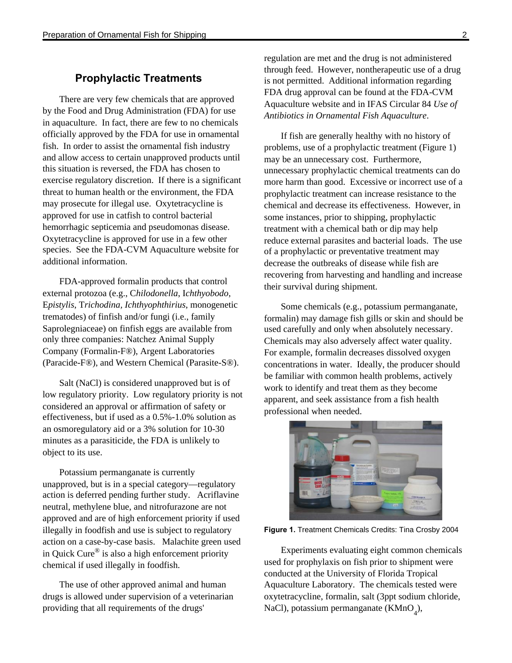## **Prophylactic Treatments**

There are very few chemicals that are approved by the Food and Drug Administration (FDA) for use in aquaculture. In fact, there are few to no chemicals officially approved by the FDA for use in ornamental fish. In order to assist the ornamental fish industry and allow access to certain unapproved products until this situation is reversed, the FDA has chosen to exercise regulatory discretion. If there is a significant threat to human health or the environment, the FDA may prosecute for illegal use. Oxytetracycline is approved for use in catfish to control bacterial hemorrhagic septicemia and pseudomonas disease. Oxytetracycline is approved for use in a few other species. See the FDA-CVM Aquaculture website for additional information.

FDA-approved formalin products that control external protozoa (e.g., C*hilodonella*, I*chthyobodo*, E*pistylis*, T*richodina, Ichthyophthirius*, monogenetic trematodes) of finfish and/or fungi (i.e., family Saprolegniaceae) on finfish eggs are available from only three companies: Natchez Animal Supply Company (Formalin-F®), Argent Laboratories (Paracide-F®), and Western Chemical (Parasite-S®).

Salt (NaCl) is considered unapproved but is of low regulatory priority. Low regulatory priority is not considered an approval or affirmation of safety or effectiveness, but if used as a 0.5%-1.0% solution as an osmoregulatory aid or a 3% solution for 10-30 minutes as a parasiticide, the FDA is unlikely to object to its use.

Potassium permanganate is currently unapproved, but is in a special category—regulatory action is deferred pending further study. Acriflavine neutral, methylene blue, and nitrofurazone are not approved and are of high enforcement priority if used illegally in foodfish and use is subject to regulatory action on a case-by-case basis. Malachite green used in Quick Cure® is also a high enforcement priority chemical if used illegally in foodfish.

The use of other approved animal and human drugs is allowed under supervision of a veterinarian providing that all requirements of the drugs'

regulation are met and the drug is not administered through feed. However, nontherapeutic use of a drug is not permitted. Additional information regarding FDA drug approval can be found at the FDA-CVM Aquaculture website and in IFAS Circular 84 *Use of Antibiotics in Ornamental Fish Aquaculture*.

If fish are generally healthy with no history of problems, use of a prophylactic treatment (Figure 1) may be an unnecessary cost. Furthermore, unnecessary prophylactic chemical treatments can do more harm than good. Excessive or incorrect use of a prophylactic treatment can increase resistance to the chemical and decrease its effectiveness. However, in some instances, prior to shipping, prophylactic treatment with a chemical bath or dip may help reduce external parasites and bacterial loads. The use of a prophylactic or preventative treatment may decrease the outbreaks of disease while fish are recovering from harvesting and handling and increase their survival during shipment.

Some chemicals (e.g., potassium permanganate, formalin) may damage fish gills or skin and should be used carefully and only when absolutely necessary. Chemicals may also adversely affect water quality. For example, formalin decreases dissolved oxygen concentrations in water. Ideally, the producer should be familiar with common health problems, actively work to identify and treat them as they become apparent, and seek assistance from a fish health professional when needed.



**Figure 1.** Treatment Chemicals Credits: Tina Crosby 2004

Experiments evaluating eight common chemicals used for prophylaxis on fish prior to shipment were conducted at the University of Florida Tropical Aquaculture Laboratory. The chemicals tested were oxytetracycline, formalin, salt (3ppt sodium chloride, NaCl), potassium permanganate (KMnO<sub>4</sub>),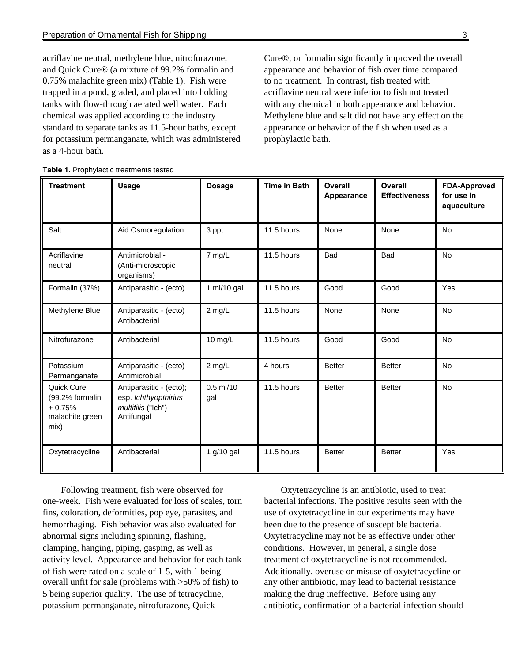acriflavine neutral, methylene blue, nitrofurazone, and Quick Cure® (a mixture of 99.2% formalin and 0.75% malachite green mix) (Table 1). Fish were trapped in a pond, graded, and placed into holding tanks with flow-through aerated well water. Each chemical was applied according to the industry standard to separate tanks as 11.5-hour baths, except for potassium permanganate, which was administered as a 4-hour bath.

Cure®, or formalin significantly improved the overall appearance and behavior of fish over time compared to no treatment. In contrast, fish treated with acriflavine neutral were inferior to fish not treated with any chemical in both appearance and behavior. Methylene blue and salt did not have any effect on the appearance or behavior of the fish when used as a prophylactic bath.

| <b>Treatment</b>                                                     | <b>Usage</b>                                                                        | <b>Dosage</b>      | <b>Time in Bath</b> | Overall<br>Appearance | Overall<br><b>Effectiveness</b> | <b>FDA-Approved</b><br>for use in<br>aquaculture |
|----------------------------------------------------------------------|-------------------------------------------------------------------------------------|--------------------|---------------------|-----------------------|---------------------------------|--------------------------------------------------|
| Salt                                                                 | Aid Osmoregulation                                                                  | 3 ppt              | 11.5 hours          | None                  | None                            | No                                               |
| Acriflavine<br>neutral                                               | Antimicrobial -<br>(Anti-microscopic<br>organisms)                                  | 7 mg/L             | 11.5 hours          | <b>Bad</b>            | <b>Bad</b>                      | <b>No</b>                                        |
| Formalin (37%)                                                       | Antiparasitic - (ecto)                                                              | 1 ml/10 gal        | 11.5 hours          | Good                  | Good                            | Yes                                              |
| Methylene Blue                                                       | Antiparasitic - (ecto)<br>Antibacterial                                             | $2$ mg/L           | 11.5 hours          | None                  | None                            | No                                               |
| Nitrofurazone                                                        | Antibacterial                                                                       | 10 mg/L            | 11.5 hours          | Good                  | Good                            | <b>No</b>                                        |
| Potassium<br>Permanganate                                            | Antiparasitic - (ecto)<br>Antimicrobial                                             | $2$ mg/L           | 4 hours             | <b>Better</b>         | <b>Better</b>                   | <b>No</b>                                        |
| Quick Cure<br>(99.2% formalin<br>$+0.75%$<br>malachite green<br>mix) | Antiparasitic - (ecto);<br>esp. lchthyopthirius<br>multifilis ("Ich")<br>Antifungal | $0.5$ ml/10<br>gal | 11.5 hours          | <b>Better</b>         | <b>Better</b>                   | <b>No</b>                                        |
| Oxytetracycline                                                      | Antibacterial                                                                       | 1 $g/10$ gal       | 11.5 hours          | <b>Better</b>         | <b>Better</b>                   | Yes                                              |

Following treatment, fish were observed for one-week. Fish were evaluated for loss of scales, torn fins, coloration, deformities, pop eye, parasites, and hemorrhaging. Fish behavior was also evaluated for abnormal signs including spinning, flashing, clamping, hanging, piping, gasping, as well as activity level. Appearance and behavior for each tank of fish were rated on a scale of 1-5, with 1 being overall unfit for sale (problems with >50% of fish) to 5 being superior quality. The use of tetracycline, potassium permanganate, nitrofurazone, Quick

Oxytetracycline is an antibiotic, used to treat bacterial infections. The positive results seen with the use of oxytetracycline in our experiments may have been due to the presence of susceptible bacteria. Oxytetracycline may not be as effective under other conditions. However, in general, a single dose treatment of oxytetracycline is not recommended. Additionally, overuse or misuse of oxytetracycline or any other antibiotic, may lead to bacterial resistance making the drug ineffective. Before using any antibiotic, confirmation of a bacterial infection should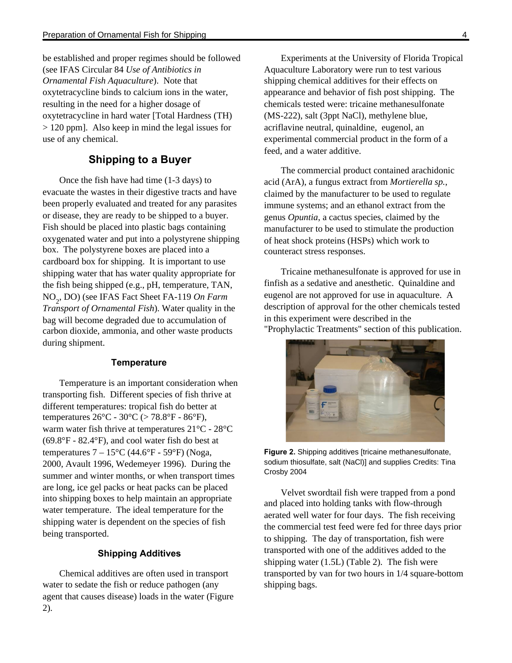be established and proper regimes should be followed (see IFAS Circular 84 *Use of Antibiotics in Ornamental Fish Aquaculture*). Note that oxytetracycline binds to calcium ions in the water, resulting in the need for a higher dosage of oxytetracycline in hard water [Total Hardness (TH) > 120 ppm]. Also keep in mind the legal issues for use of any chemical.

## **Shipping to a Buyer**

Once the fish have had time (1-3 days) to evacuate the wastes in their digestive tracts and have been properly evaluated and treated for any parasites or disease, they are ready to be shipped to a buyer. Fish should be placed into plastic bags containing oxygenated water and put into a polystyrene shipping box. The polystyrene boxes are placed into a cardboard box for shipping. It is important to use shipping water that has water quality appropriate for the fish being shipped (e.g., pH, temperature, TAN, NO<sup>2</sup> , DO) (see IFAS Fact Sheet FA-119 *On Farm Transport of Ornamental Fish*). Water quality in the bag will become degraded due to accumulation of carbon dioxide, ammonia, and other waste products during shipment.

#### **Temperature**

Temperature is an important consideration when transporting fish. Different species of fish thrive at different temperatures: tropical fish do better at temperatures  $26^{\circ}$ C -  $30^{\circ}$ C ( $> 78.8^{\circ}$ F -  $86^{\circ}$ F), warm water fish thrive at temperatures 21°C - 28°C  $(69.8^{\circ}F - 82.4^{\circ}F)$ , and cool water fish do best at temperatures  $7 - 15^{\circ}$ C (44.6°F - 59°F) (Noga, 2000, Avault 1996, Wedemeyer 1996). During the summer and winter months, or when transport times are long, ice gel packs or heat packs can be placed into shipping boxes to help maintain an appropriate water temperature. The ideal temperature for the shipping water is dependent on the species of fish being transported.

#### **Shipping Additives**

Chemical additives are often used in transport water to sedate the fish or reduce pathogen (any agent that causes disease) loads in the water (Figure 2).

Experiments at the University of Florida Tropical Aquaculture Laboratory were run to test various shipping chemical additives for their effects on appearance and behavior of fish post shipping. The chemicals tested were: tricaine methanesulfonate (MS-222), salt (3ppt NaCl), methylene blue, acriflavine neutral, quinaldine, eugenol, an experimental commercial product in the form of a feed, and a water additive.

The commercial product contained arachidonic acid (ArA), a fungus extract from *Mortierella sp.*, claimed by the manufacturer to be used to regulate immune systems; and an ethanol extract from the genus *Opuntia*, a cactus species, claimed by the manufacturer to be used to stimulate the production of heat shock proteins (HSPs) which work to counteract stress responses.

Tricaine methanesulfonate is approved for use in finfish as a sedative and anesthetic. Quinaldine and eugenol are not approved for use in aquaculture. A description of approval for the other chemicals tested in this experiment were described in the "Prophylactic Treatments" section of this publication.



**Figure 2.** Shipping additives [tricaine methanesulfonate, sodium thiosulfate, salt (NaCl)] and supplies Credits: Tina Crosby 2004

Velvet swordtail fish were trapped from a pond and placed into holding tanks with flow-through aerated well water for four days. The fish receiving the commercial test feed were fed for three days prior to shipping. The day of transportation, fish were transported with one of the additives added to the shipping water (1.5L) (Table 2). The fish were transported by van for two hours in 1/4 square-bottom shipping bags.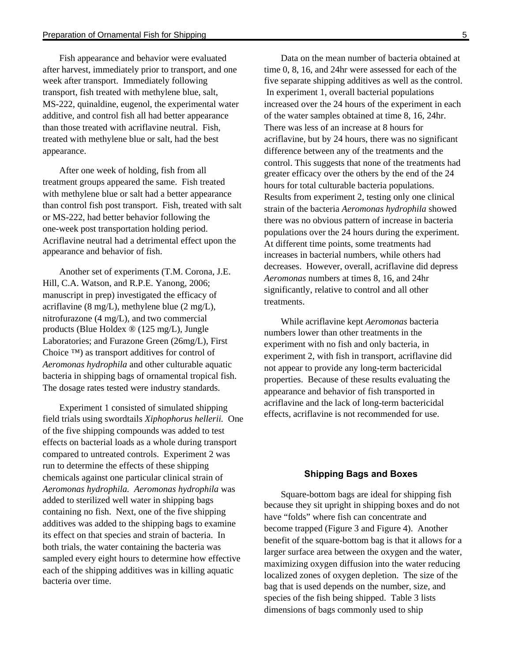Fish appearance and behavior were evaluated after harvest, immediately prior to transport, and one week after transport. Immediately following transport, fish treated with methylene blue, salt, MS-222, quinaldine, eugenol, the experimental water additive, and control fish all had better appearance than those treated with acriflavine neutral. Fish, treated with methylene blue or salt, had the best appearance.

After one week of holding, fish from all treatment groups appeared the same. Fish treated with methylene blue or salt had a better appearance than control fish post transport. Fish, treated with salt or MS-222, had better behavior following the one-week post transportation holding period. Acriflavine neutral had a detrimental effect upon the appearance and behavior of fish.

Another set of experiments (T.M. Corona, J.E. Hill, C.A. Watson, and R.P.E. Yanong, 2006; manuscript in prep) investigated the efficacy of acriflavine (8 mg/L), methylene blue (2 mg/L), nitrofurazone (4 mg/L), and two commercial products (Blue Holdex ® (125 mg/L), Jungle Laboratories; and Furazone Green (26mg/L), First Choice ™) as transport additives for control of *Aeromonas hydrophila* and other culturable aquatic bacteria in shipping bags of ornamental tropical fish. The dosage rates tested were industry standards.

Experiment 1 consisted of simulated shipping field trials using swordtails *Xiphophorus hellerii.* One of the five shipping compounds was added to test effects on bacterial loads as a whole during transport compared to untreated controls. Experiment 2 was run to determine the effects of these shipping chemicals against one particular clinical strain of *Aeromonas hydrophila. Aeromonas hydrophila* was added to sterilized well water in shipping bags containing no fish. Next, one of the five shipping additives was added to the shipping bags to examine its effect on that species and strain of bacteria. In both trials, the water containing the bacteria was sampled every eight hours to determine how effective each of the shipping additives was in killing aquatic bacteria over time.

Data on the mean number of bacteria obtained at time 0, 8, 16, and 24hr were assessed for each of the five separate shipping additives as well as the control. In experiment 1, overall bacterial populations increased over the 24 hours of the experiment in each of the water samples obtained at time 8, 16, 24hr. There was less of an increase at 8 hours for acriflavine, but by 24 hours, there was no significant difference between any of the treatments and the control. This suggests that none of the treatments had greater efficacy over the others by the end of the 24 hours for total culturable bacteria populations. Results from experiment 2, testing only one clinical strain of the bacteria *Aeromonas hydrophila* showed there was no obvious pattern of increase in bacteria populations over the 24 hours during the experiment. At different time points, some treatments had increases in bacterial numbers, while others had decreases. However, overall, acriflavine did depress *Aeromonas* numbers at times 8, 16, and 24hr significantly, relative to control and all other treatments.

While acriflavine kept *Aeromonas* bacteria numbers lower than other treatments in the experiment with no fish and only bacteria, in experiment 2, with fish in transport, acriflavine did not appear to provide any long-term bactericidal properties. Because of these results evaluating the appearance and behavior of fish transported in acriflavine and the lack of long-term bactericidal effects, acriflavine is not recommended for use.

#### **Shipping Bags and Boxes**

Square-bottom bags are ideal for shipping fish because they sit upright in shipping boxes and do not have "folds" where fish can concentrate and become trapped (Figure 3 and Figure 4). Another benefit of the square-bottom bag is that it allows for a larger surface area between the oxygen and the water, maximizing oxygen diffusion into the water reducing localized zones of oxygen depletion. The size of the bag that is used depends on the number, size, and species of the fish being shipped. Table 3 lists dimensions of bags commonly used to ship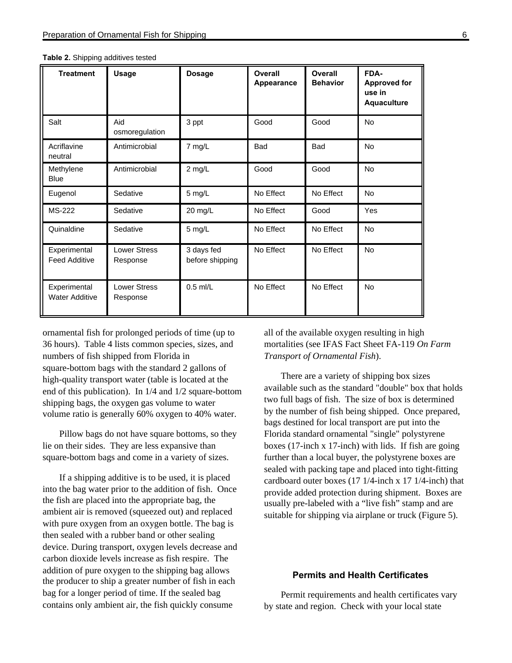| <b>Treatment</b>                      | <b>Usage</b>                    | <b>Dosage</b>                 | Overall<br><b>Appearance</b> | Overall<br><b>Behavior</b> | FDA-<br><b>Approved for</b><br>use in<br><b>Aquaculture</b> |
|---------------------------------------|---------------------------------|-------------------------------|------------------------------|----------------------------|-------------------------------------------------------------|
| Salt                                  | Aid<br>osmoregulation           | 3 ppt                         | Good                         | Good                       | <b>No</b>                                                   |
| Acriflavine<br>neutral                | Antimicrobial                   | 7 mg/L                        | <b>Bad</b>                   | <b>Bad</b>                 | <b>No</b>                                                   |
| Methylene<br><b>Blue</b>              | Antimicrobial                   | 2 mg/L                        | Good                         | Good                       | No                                                          |
| Eugenol                               | Sedative                        | 5 mg/L                        | No Effect                    | No Effect                  | <b>No</b>                                                   |
| <b>MS-222</b>                         | Sedative                        | 20 mg/L                       | No Effect                    | Good                       | Yes                                                         |
| Quinaldine                            | Sedative                        | 5 mg/L                        | No Effect                    | No Effect                  | <b>No</b>                                                   |
| Experimental<br><b>Feed Additive</b>  | <b>Lower Stress</b><br>Response | 3 days fed<br>before shipping | No Effect                    | No Effect                  | <b>No</b>                                                   |
| Experimental<br><b>Water Additive</b> | <b>Lower Stress</b><br>Response | $0.5$ ml/L                    | No Effect                    | No Effect                  | No                                                          |

**Table 2.** Shipping additives tested

ornamental fish for prolonged periods of time (up to 36 hours). Table 4 lists common species, sizes, and numbers of fish shipped from Florida in square-bottom bags with the standard 2 gallons of high-quality transport water (table is located at the end of this publication). In 1/4 and 1/2 square-bottom shipping bags, the oxygen gas volume to water volume ratio is generally 60% oxygen to 40% water.

Pillow bags do not have square bottoms, so they lie on their sides. They are less expansive than square-bottom bags and come in a variety of sizes.

If a shipping additive is to be used, it is placed into the bag water prior to the addition of fish. Once the fish are placed into the appropriate bag, the ambient air is removed (squeezed out) and replaced with pure oxygen from an oxygen bottle. The bag is then sealed with a rubber band or other sealing device. During transport, oxygen levels decrease and carbon dioxide levels increase as fish respire. The addition of pure oxygen to the shipping bag allows the producer to ship a greater number of fish in each bag for a longer period of time. If the sealed bag contains only ambient air, the fish quickly consume

all of the available oxygen resulting in high mortalities (see IFAS Fact Sheet FA-119 *On Farm Transport of Ornamental Fish*).

There are a variety of shipping box sizes available such as the standard "double" box that holds two full bags of fish. The size of box is determined by the number of fish being shipped. Once prepared, bags destined for local transport are put into the Florida standard ornamental "single" polystyrene boxes (17-inch x 17-inch) with lids. If fish are going further than a local buyer, the polystyrene boxes are sealed with packing tape and placed into tight-fitting cardboard outer boxes (17 1/4-inch x 17 1/4-inch) that provide added protection during shipment. Boxes are usually pre-labeled with a "live fish" stamp and are suitable for shipping via airplane or truck (Figure 5).

#### **Permits and Health Certificates**

Permit requirements and health certificates vary by state and region. Check with your local state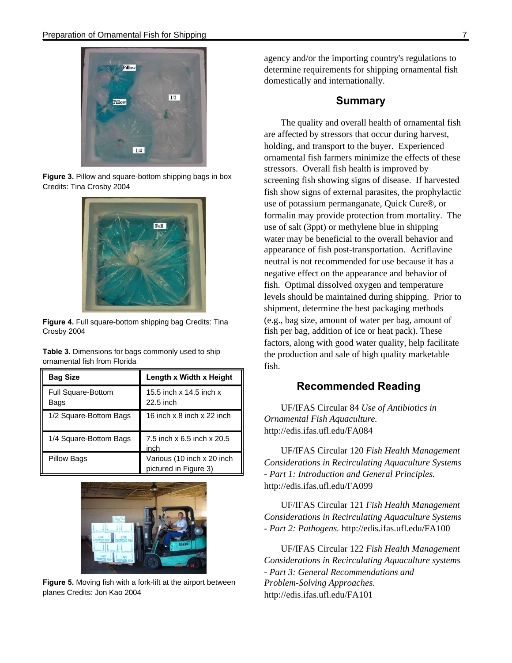

**Figure 3.** Pillow and square-bottom shipping bags in box Credits: Tina Crosby 2004



**Figure 4.** Full square-bottom shipping bag Credits: Tina Crosby 2004

**Table 3.** Dimensions for bags commonly used to ship ornamental fish from Florida

| <b>Bag Size</b>                   | Length x Width x Height                             |  |  |
|-----------------------------------|-----------------------------------------------------|--|--|
| <b>Full Square-Bottom</b><br>Bags | 15.5 inch x 14.5 inch x<br>22.5 inch                |  |  |
| 1/2 Square-Bottom Bags            | 16 inch x 8 inch x 22 inch                          |  |  |
| 1/4 Square-Bottom Bags            | 7.5 inch x 6.5 inch x 20.5<br>inch                  |  |  |
| <b>Pillow Bags</b>                | Various (10 inch x 20 inch<br>pictured in Figure 3) |  |  |



**Figure 5.** Moving fish with a fork-lift at the airport between planes Credits: Jon Kao 2004

agency and/or the importing country's regulations to determine requirements for shipping ornamental fish domestically and internationally.

### **Summary**

The quality and overall health of ornamental fish are affected by stressors that occur during harvest, holding, and transport to the buyer. Experienced ornamental fish farmers minimize the effects of these stressors. Overall fish health is improved by screening fish showing signs of disease. If harvested fish show signs of external parasites, the prophylactic use of potassium permanganate, Quick Cure®, or formalin may provide protection from mortality. The use of salt (3ppt) or methylene blue in shipping water may be beneficial to the overall behavior and appearance of fish post-transportation. Acriflavine neutral is not recommended for use because it has a negative effect on the appearance and behavior of fish. Optimal dissolved oxygen and temperature levels should be maintained during shipping. Prior to shipment, determine the best packaging methods (e.g., bag size, amount of water per bag, amount of fish per bag, addition of ice or heat pack). These factors, along with good water quality, help facilitate the production and sale of high quality marketable fish.

## **Recommended Reading**

UF/IFAS Circular 84 *Use of Antibiotics in Ornamental Fish Aquaculture.* http://edis.ifas.ufl.edu/FA084

UF/IFAS Circular 120 *Fish Health Management Considerations in Recirculating Aquaculture Systems - Part 1: Introduction and General Principles.*  http://edis.ifas.ufl.edu/FA099

UF/IFAS Circular 121 *Fish Health Management Considerations in Recirculating Aquaculture Systems - Part 2: Pathogens.* http://edis.ifas.ufl.edu/FA100

UF/IFAS Circular 122 *Fish Health Management Considerations in Recirculating Aquaculture systems - Part 3: General Recommendations and Problem-Solving Approaches.*  http://edis.ifas.ufl.edu/FA101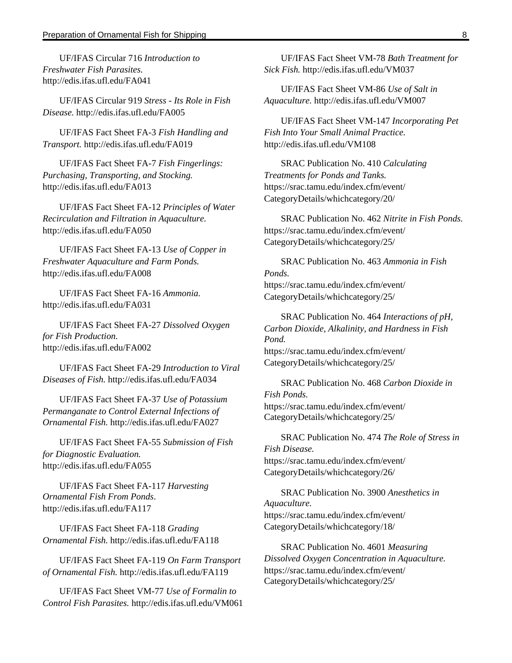UF/IFAS Circular 716 *Introduction to Freshwater Fish Parasites.*  http://edis.ifas.ufl.edu/FA041

UF/IFAS Circular 919 *Stress - Its Role in Fish Disease.* http://edis.ifas.ufl.edu/FA005

UF/IFAS Fact Sheet FA-3 *Fish Handling and Transport.* http://edis.ifas.ufl.edu/FA019

UF/IFAS Fact Sheet FA-7 *Fish Fingerlings: Purchasing, Transporting, and Stocking.* http://edis.ifas.ufl.edu/FA013

UF/IFAS Fact Sheet FA-12 *Principles of Water Recirculation and Filtration in Aquaculture.* http://edis.ifas.ufl.edu/FA050

UF/IFAS Fact Sheet FA-13 *Use of Copper in Freshwater Aquaculture and Farm Ponds.* http://edis.ifas.ufl.edu/FA008

UF/IFAS Fact Sheet FA-16 *Ammonia.* http://edis.ifas.ufl.edu/FA031

UF/IFAS Fact Sheet FA-27 *Dissolved Oxygen for Fish Production.* http://edis.ifas.ufl.edu/FA002

UF/IFAS Fact Sheet FA-29 *Introduction to Viral Diseases of Fish.* http://edis.ifas.ufl.edu/FA034

UF/IFAS Fact Sheet FA-37 *Use of Potassium Permanganate to Control External Infections of Ornamental Fish.* http://edis.ifas.ufl.edu/FA027

UF/IFAS Fact Sheet FA-55 *Submission of Fish for Diagnostic Evaluation.*  http://edis.ifas.ufl.edu/FA055

UF/IFAS Fact Sheet FA-117 *Harvesting Ornamental Fish From Ponds*. http://edis.ifas.ufl.edu/FA117

UF/IFAS Fact Sheet FA-118 *Grading Ornamental Fish.* http://edis.ifas.ufl.edu/FA118

UF/IFAS Fact Sheet FA-119 *On Farm Transport of Ornamental Fish.* http://edis.ifas.ufl.edu/FA119

UF/IFAS Fact Sheet VM-77 *Use of Formalin to Control Fish Parasites.* http://edis.ifas.ufl.edu/VM061

UF/IFAS Fact Sheet VM-78 *Bath Treatment for Sick Fish.* http://edis.ifas.ufl.edu/VM037

UF/IFAS Fact Sheet VM-86 *Use of Salt in Aquaculture.* http://edis.ifas.ufl.edu/VM007

UF/IFAS Fact Sheet VM-147 *Incorporating Pet Fish Into Your Small Animal Practice.*  http://edis.ifas.ufl.edu/VM108

SRAC Publication No. 410 *Calculating Treatments for Ponds and Tanks.* https://srac.tamu.edu/index.cfm/event/ CategoryDetails/whichcategory/20/

SRAC Publication No. 462 *Nitrite in Fish Ponds.*  https://srac.tamu.edu/index.cfm/event/ CategoryDetails/whichcategory/25/

SRAC Publication No. 463 *Ammonia in Fish Ponds.*  https://srac.tamu.edu/index.cfm/event/ CategoryDetails/whichcategory/25/

SRAC Publication No. 464 *Interactions of pH, Carbon Dioxide, Alkalinity, and Hardness in Fish Pond.*  https://srac.tamu.edu/index.cfm/event/ CategoryDetails/whichcategory/25/

SRAC Publication No. 468 *Carbon Dioxide in Fish Ponds.*  https://srac.tamu.edu/index.cfm/event/ CategoryDetails/whichcategory/25/

SRAC Publication No. 474 *The Role of Stress in Fish Disease.*  https://srac.tamu.edu/index.cfm/event/ CategoryDetails/whichcategory/26/

SRAC Publication No. 3900 *Anesthetics in Aquaculture.*  https://srac.tamu.edu/index.cfm/event/ CategoryDetails/whichcategory/18/

SRAC Publication No. 4601 *Measuring Dissolved Oxygen Concentration in Aquaculture.* https://srac.tamu.edu/index.cfm/event/ CategoryDetails/whichcategory/25/